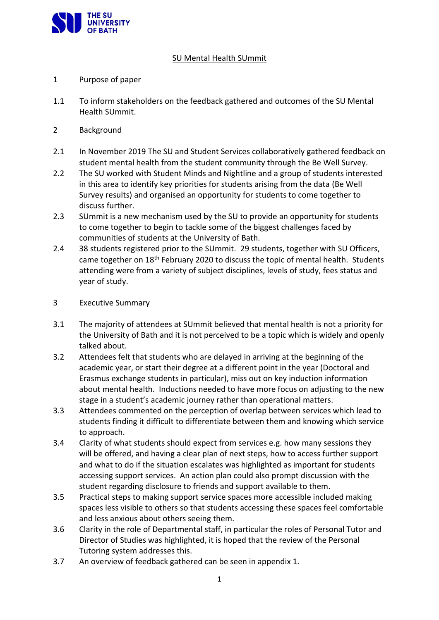

## SU Mental Health SUmmit

- 1 Purpose of paper
- 1.1 To inform stakeholders on the feedback gathered and outcomes of the SU Mental Health SUmmit.
- 2 Background
- 2.1 In November 2019 The SU and Student Services collaboratively gathered feedback on student mental health from the student community through the Be Well Survey.
- 2.2 The SU worked with Student Minds and Nightline and a group of students interested in this area to identify key priorities for students arising from the data (Be Well Survey results) and organised an opportunity for students to come together to discuss further.
- 2.3 SUmmit is a new mechanism used by the SU to provide an opportunity for students to come together to begin to tackle some of the biggest challenges faced by communities of students at the University of Bath.
- 2.4 38 students registered prior to the SUmmit. 29 students, together with SU Officers, came together on 18<sup>th</sup> February 2020 to discuss the topic of mental health. Students attending were from a variety of subject disciplines, levels of study, fees status and year of study.
- 3 Executive Summary
- 3.1 The majority of attendees at SUmmit believed that mental health is not a priority for the University of Bath and it is not perceived to be a topic which is widely and openly talked about.
- 3.2 Attendees felt that students who are delayed in arriving at the beginning of the academic year, or start their degree at a different point in the year (Doctoral and Erasmus exchange students in particular), miss out on key induction information about mental health. Inductions needed to have more focus on adjusting to the new stage in a student's academic journey rather than operational matters.
- 3.3 Attendees commented on the perception of overlap between services which lead to students finding it difficult to differentiate between them and knowing which service to approach.
- 3.4 Clarity of what students should expect from services e.g. how many sessions they will be offered, and having a clear plan of next steps, how to access further support and what to do if the situation escalates was highlighted as important for students accessing support services. An action plan could also prompt discussion with the student regarding disclosure to friends and support available to them.
- 3.5 Practical steps to making support service spaces more accessible included making spaces less visible to others so that students accessing these spaces feel comfortable and less anxious about others seeing them.
- 3.6 Clarity in the role of Departmental staff, in particular the roles of Personal Tutor and Director of Studies was highlighted, it is hoped that the review of the Personal Tutoring system addresses this.
- 3.7 An overview of feedback gathered can be seen in appendix 1.